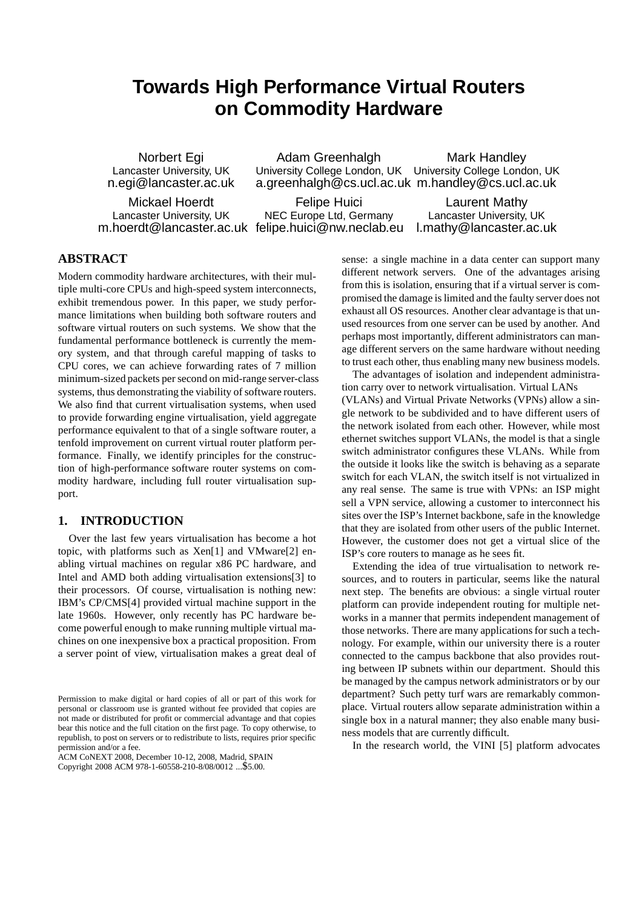# **Towards High Performance Virtual Routers on Commodity Hardware**

Norbert Egi Lancaster University, UK n.egi@lancaster.ac.uk

Mickael Hoerdt Lancaster University, UK m.hoerdt@lancaster.ac.uk felipe.huici@nw.neclab.eu

Adam Greenhalgh University College London, UK University College London, UK a.greenhalgh@cs.ucl.ac.uk m.handley@cs.ucl.ac.uk Mark Handley

Felipe Huici NEC Europe Ltd, Germany

Laurent Mathy Lancaster University, UK l.mathy@lancaster.ac.uk

# **ABSTRACT**

Modern commodity hardware architectures, with their multiple multi-core CPUs and high-speed system interconnects, exhibit tremendous power. In this paper, we study performance limitations when building both software routers and software virtual routers on such systems. We show that the fundamental performance bottleneck is currently the memory system, and that through careful mapping of tasks to CPU cores, we can achieve forwarding rates of 7 million minimum-sized packets per second on mid-range server-class systems, thus demonstrating the viability of software routers. We also find that current virtualisation systems, when used to provide forwarding engine virtualisation, yield aggregate performance equivalent to that of a single software router, a tenfold improvement on current virtual router platform performance. Finally, we identify principles for the construction of high-performance software router systems on commodity hardware, including full router virtualisation support.

# **1. INTRODUCTION**

Over the last few years virtualisation has become a hot topic, with platforms such as Xen[1] and VMware[2] enabling virtual machines on regular x86 PC hardware, and Intel and AMD both adding virtualisation extensions[3] to their processors. Of course, virtualisation is nothing new: IBM's CP/CMS[4] provided virtual machine support in the late 1960s. However, only recently has PC hardware become powerful enough to make running multiple virtual machines on one inexpensive box a practical proposition. From a server point of view, virtualisation makes a great deal of

ACM CoNEXT 2008, December 10-12, 2008, Madrid, SPAIN Copyright 2008 ACM 978-1-60558-210-8/08/0012 ...\$5.00.

sense: a single machine in a data center can support many different network servers. One of the advantages arising from this is isolation, ensuring that if a virtual server is compromised the damage is limited and the faulty server does not exhaust all OS resources. Another clear advantage is that unused resources from one server can be used by another. And perhaps most importantly, different administrators can manage different servers on the same hardware without needing to trust each other, thus enabling many new business models.

The advantages of isolation and independent administration carry over to network virtualisation. Virtual LANs (VLANs) and Virtual Private Networks (VPNs) allow a single network to be subdivided and to have different users of the network isolated from each other. However, while most ethernet switches support VLANs, the model is that a single switch administrator configures these VLANs. While from the outside it looks like the switch is behaving as a separate switch for each VLAN, the switch itself is not virtualized in any real sense. The same is true with VPNs: an ISP might sell a VPN service, allowing a customer to interconnect his sites over the ISP's Internet backbone, safe in the knowledge that they are isolated from other users of the public Internet. However, the customer does not get a virtual slice of the ISP's core routers to manage as he sees fit.

Extending the idea of true virtualisation to network resources, and to routers in particular, seems like the natural next step. The benefits are obvious: a single virtual router platform can provide independent routing for multiple networks in a manner that permits independent management of those networks. There are many applications for such a technology. For example, within our university there is a router connected to the campus backbone that also provides routing between IP subnets within our department. Should this be managed by the campus network administrators or by our department? Such petty turf wars are remarkably commonplace. Virtual routers allow separate administration within a single box in a natural manner; they also enable many business models that are currently difficult.

In the research world, the VINI [5] platform advocates

Permission to make digital or hard copies of all or part of this work for personal or classroom use is granted without fee provided that copies are not made or distributed for profit or commercial advantage and that copies bear this notice and the full citation on the first page. To copy otherwise, to republish, to post on servers or to redistribute to lists, requires prior specific permission and/or a fee.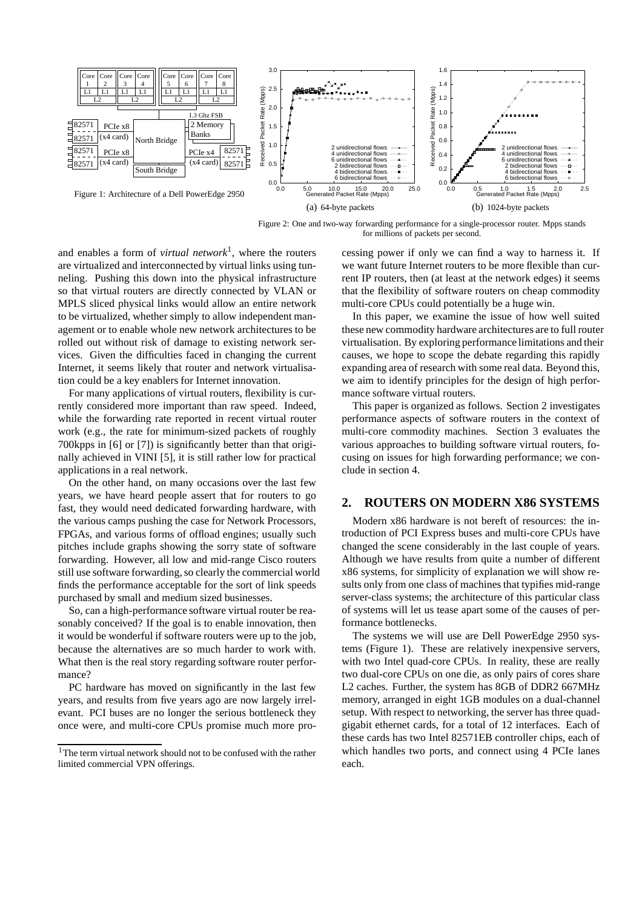

Figure 2: One and two-way forwarding performance for a single-processor router. Mpps stands for millions of packets per second.

and enables a form of *virtual network*<sup>1</sup> , where the routers are virtualized and interconnected by virtual links using tunneling. Pushing this down into the physical infrastructure so that virtual routers are directly connected by VLAN or MPLS sliced physical links would allow an entire network to be virtualized, whether simply to allow independent management or to enable whole new network architectures to be rolled out without risk of damage to existing network services. Given the difficulties faced in changing the current Internet, it seems likely that router and network virtualisation could be a key enablers for Internet innovation.

For many applications of virtual routers, flexibility is currently considered more important than raw speed. Indeed, while the forwarding rate reported in recent virtual router work (e.g., the rate for minimum-sized packets of roughly 700kpps in [6] or [7]) is significantly better than that originally achieved in VINI [5], it is still rather low for practical applications in a real network.

On the other hand, on many occasions over the last few years, we have heard people assert that for routers to go fast, they would need dedicated forwarding hardware, with the various camps pushing the case for Network Processors, FPGAs, and various forms of offload engines; usually such pitches include graphs showing the sorry state of software forwarding. However, all low and mid-range Cisco routers still use software forwarding, so clearly the commercial world finds the performance acceptable for the sort of link speeds purchased by small and medium sized businesses.

So, can a high-performance software virtual router be reasonably conceived? If the goal is to enable innovation, then it would be wonderful if software routers were up to the job, because the alternatives are so much harder to work with. What then is the real story regarding software router performance?

PC hardware has moved on significantly in the last few years, and results from five years ago are now largely irrelevant. PCI buses are no longer the serious bottleneck they once were, and multi-core CPUs promise much more processing power if only we can find a way to harness it. If we want future Internet routers to be more flexible than current IP routers, then (at least at the network edges) it seems that the flexibility of software routers on cheap commodity multi-core CPUs could potentially be a huge win.

In this paper, we examine the issue of how well suited these new commodity hardware architectures are to full router virtualisation. By exploring performance limitations and their causes, we hope to scope the debate regarding this rapidly expanding area of research with some real data. Beyond this, we aim to identify principles for the design of high performance software virtual routers.

This paper is organized as follows. Section 2 investigates performance aspects of software routers in the context of multi-core commodity machines. Section 3 evaluates the various approaches to building software virtual routers, focusing on issues for high forwarding performance; we conclude in section 4.

## **2. ROUTERS ON MODERN X86 SYSTEMS**

Modern x86 hardware is not bereft of resources: the introduction of PCI Express buses and multi-core CPUs have changed the scene considerably in the last couple of years. Although we have results from quite a number of different x86 systems, for simplicity of explanation we will show results only from one class of machines that typifies mid-range server-class systems; the architecture of this particular class of systems will let us tease apart some of the causes of performance bottlenecks.

The systems we will use are Dell PowerEdge 2950 systems (Figure 1). These are relatively inexpensive servers, with two Intel quad-core CPUs. In reality, these are really two dual-core CPUs on one die, as only pairs of cores share L2 caches. Further, the system has 8GB of DDR2 667MHz memory, arranged in eight 1GB modules on a dual-channel setup. With respect to networking, the server has three quadgigabit ethernet cards, for a total of 12 interfaces. Each of these cards has two Intel 82571EB controller chips, each of which handles two ports, and connect using 4 PCIe lanes each.

<sup>1</sup>The term virtual network should not to be confused with the rather limited commercial VPN offerings.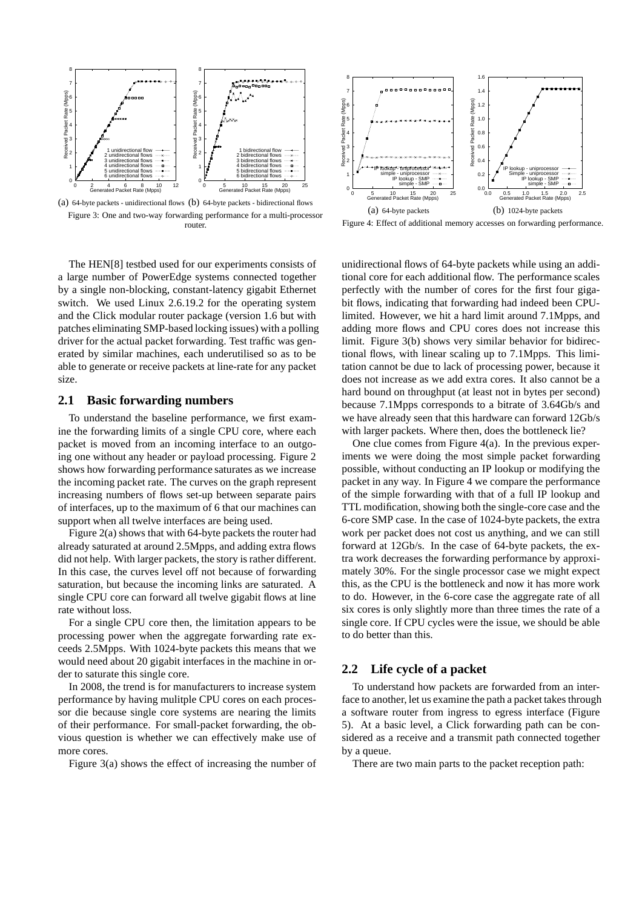

(a) 64-byte packets - unidirectional flows (b) 64-byte packets - bidirectional flows Figure 3: One and two-way forwarding performance for a multi-processor router.

The HEN[8] testbed used for our experiments consists of a large number of PowerEdge systems connected together by a single non-blocking, constant-latency gigabit Ethernet switch. We used Linux 2.6.19.2 for the operating system and the Click modular router package (version 1.6 but with patches eliminating SMP-based locking issues) with a polling driver for the actual packet forwarding. Test traffic was generated by similar machines, each underutilised so as to be able to generate or receive packets at line-rate for any packet size.

### **2.1 Basic forwarding numbers**

To understand the baseline performance, we first examine the forwarding limits of a single CPU core, where each packet is moved from an incoming interface to an outgoing one without any header or payload processing. Figure 2 shows how forwarding performance saturates as we increase the incoming packet rate. The curves on the graph represent increasing numbers of flows set-up between separate pairs of interfaces, up to the maximum of 6 that our machines can support when all twelve interfaces are being used.

Figure 2(a) shows that with 64-byte packets the router had already saturated at around 2.5Mpps, and adding extra flows did not help. With larger packets, the story is rather different. In this case, the curves level off not because of forwarding saturation, but because the incoming links are saturated. A single CPU core can forward all twelve gigabit flows at line rate without loss.

For a single CPU core then, the limitation appears to be processing power when the aggregate forwarding rate exceeds 2.5Mpps. With 1024-byte packets this means that we would need about 20 gigabit interfaces in the machine in order to saturate this single core.

In 2008, the trend is for manufacturers to increase system performance by having mulitple CPU cores on each processor die because single core systems are nearing the limits of their performance. For small-packet forwarding, the obvious question is whether we can effectively make use of more cores.

Figure 3(a) shows the effect of increasing the number of



Figure 4: Effect of additional memory accesses on forwarding performance.

unidirectional flows of 64-byte packets while using an additional core for each additional flow. The performance scales perfectly with the number of cores for the first four gigabit flows, indicating that forwarding had indeed been CPUlimited. However, we hit a hard limit around 7.1Mpps, and adding more flows and CPU cores does not increase this limit. Figure 3(b) shows very similar behavior for bidirectional flows, with linear scaling up to 7.1Mpps. This limitation cannot be due to lack of processing power, because it does not increase as we add extra cores. It also cannot be a hard bound on throughput (at least not in bytes per second) because 7.1Mpps corresponds to a bitrate of 3.64Gb/s and we have already seen that this hardware can forward 12Gb/s with larger packets. Where then, does the bottleneck lie?

One clue comes from Figure  $4(a)$ . In the previous experiments we were doing the most simple packet forwarding possible, without conducting an IP lookup or modifying the packet in any way. In Figure 4 we compare the performance of the simple forwarding with that of a full IP lookup and TTL modification, showing both the single-core case and the 6-core SMP case. In the case of 1024-byte packets, the extra work per packet does not cost us anything, and we can still forward at 12Gb/s. In the case of 64-byte packets, the extra work decreases the forwarding performance by approximately 30%. For the single processor case we might expect this, as the CPU is the bottleneck and now it has more work to do. However, in the 6-core case the aggregate rate of all six cores is only slightly more than three times the rate of a single core. If CPU cycles were the issue, we should be able to do better than this.

## **2.2 Life cycle of a packet**

To understand how packets are forwarded from an interface to another, let us examine the path a packet takes through a software router from ingress to egress interface (Figure 5). At a basic level, a Click forwarding path can be considered as a receive and a transmit path connected together by a queue.

There are two main parts to the packet reception path: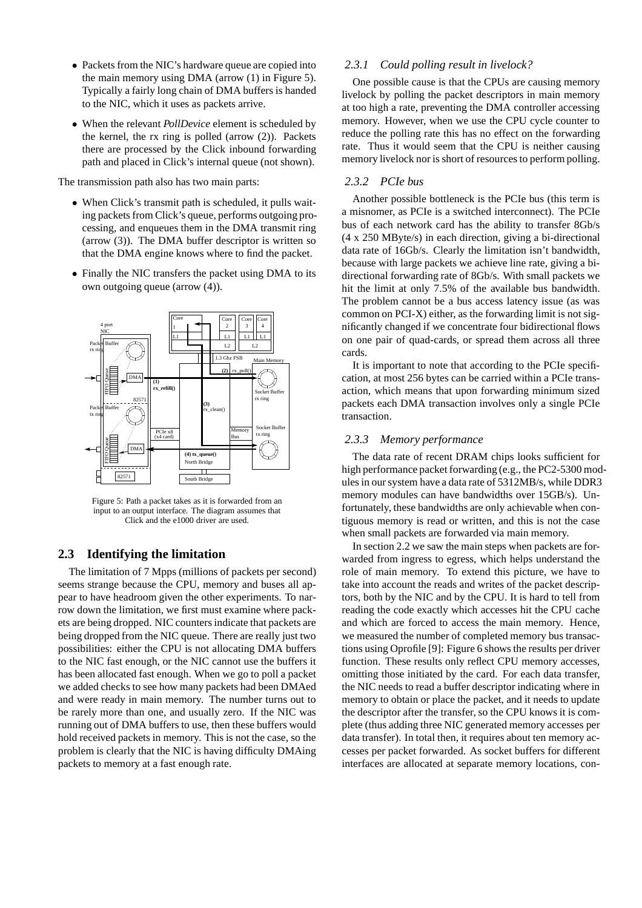- Packets from the NIC's hardware queue are copied into the main memory using DMA (arrow (1) in Figure 5). Typically a fairly long chain of DMA buffers is handed to the NIC, which it uses as packets arrive.
- When the relevant *PollDevice* element is scheduled by the kernel, the rx ring is polled (arrow (2)). Packets there are processed by the Click inbound forwarding path and placed in Click's internal queue (not shown).

The transmission path also has two main parts:

- When Click's transmit path is scheduled, it pulls waiting packets from Click's queue, performs outgoing processing, and enqueues them in the DMA transmit ring (arrow (3)). The DMA buffer descriptor is written so that the DMA engine knows where to find the packet.
- Finally the NIC transfers the packet using DMA to its own outgoing queue (arrow (4)).



Figure 5: Path a packet takes as it is forwarded from an input to an output interface. The diagram assumes that Click and the e1000 driver are used.

# **2.3 Identifying the limitation**

The limitation of 7 Mpps (millions of packets per second) seems strange because the CPU, memory and buses all appear to have headroom given the other experiments. To narrow down the limitation, we first must examine where packets are being dropped. NIC counters indicate that packets are being dropped from the NIC queue. There are really just two possibilities: either the CPU is not allocating DMA buffers to the NIC fast enough, or the NIC cannot use the buffers it has been allocated fast enough. When we go to poll a packet we added checks to see how many packets had been DMAed and were ready in main memory. The number turns out to be rarely more than one, and usually zero. If the NIC was running out of DMA buffers to use, then these buffers would hold received packets in memory. This is not the case, so the problem is clearly that the NIC is having difficulty DMAing packets to memory at a fast enough rate.

## *2.3.1 Could polling result in livelock?*

One possible cause is that the CPUs are causing memory livelock by polling the packet descriptors in main memory at too high a rate, preventing the DMA controller accessing memory. However, when we use the CPU cycle counter to reduce the polling rate this has no effect on the forwarding rate. Thus it would seem that the CPU is neither causing memory livelock nor is short of resources to perform polling.

### *2.3.2 PCIe bus*

Another possible bottleneck is the PCIe bus (this term is a misnomer, as PCIe is a switched interconnect). The PCIe bus of each network card has the ability to transfer 8Gb/s (4 x 250 MByte/s) in each direction, giving a bi-directional data rate of 16Gb/s. Clearly the limitation isn't bandwidth, because with large packets we achieve line rate, giving a bidirectional forwarding rate of 8Gb/s. With small packets we hit the limit at only 7.5% of the available bus bandwidth. The problem cannot be a bus access latency issue (as was common on PCI-X) either, as the forwarding limit is not significantly changed if we concentrate four bidirectional flows on one pair of quad-cards, or spread them across all three cards.

It is important to note that according to the PCIe specification, at most 256 bytes can be carried within a PCIe transaction, which means that upon forwarding minimum sized packets each DMA transaction involves only a single PCIe transaction.

#### *2.3.3 Memory performance*

The data rate of recent DRAM chips looks sufficient for high performance packet forwarding (e.g., the PC2-5300 modules in our system have a data rate of 5312MB/s, while DDR3 memory modules can have bandwidths over 15GB/s). Unfortunately, these bandwidths are only achievable when contiguous memory is read or written, and this is not the case when small packets are forwarded via main memory.

In section 2.2 we saw the main steps when packets are forwarded from ingress to egress, which helps understand the role of main memory. To extend this picture, we have to take into account the reads and writes of the packet descriptors, both by the NIC and by the CPU. It is hard to tell from reading the code exactly which accesses hit the CPU cache and which are forced to access the main memory. Hence, we measured the number of completed memory bus transactions using Oprofile [9]: Figure 6 shows the results per driver function. These results only reflect CPU memory accesses, omitting those initiated by the card. For each data transfer, the NIC needs to read a buffer descriptor indicating where in memory to obtain or place the packet, and it needs to update the descriptor after the transfer, so the CPU knows it is complete (thus adding three NIC generated memory accesses per data transfer). In total then, it requires about ten memory accesses per packet forwarded. As socket buffers for different interfaces are allocated at separate memory locations, con-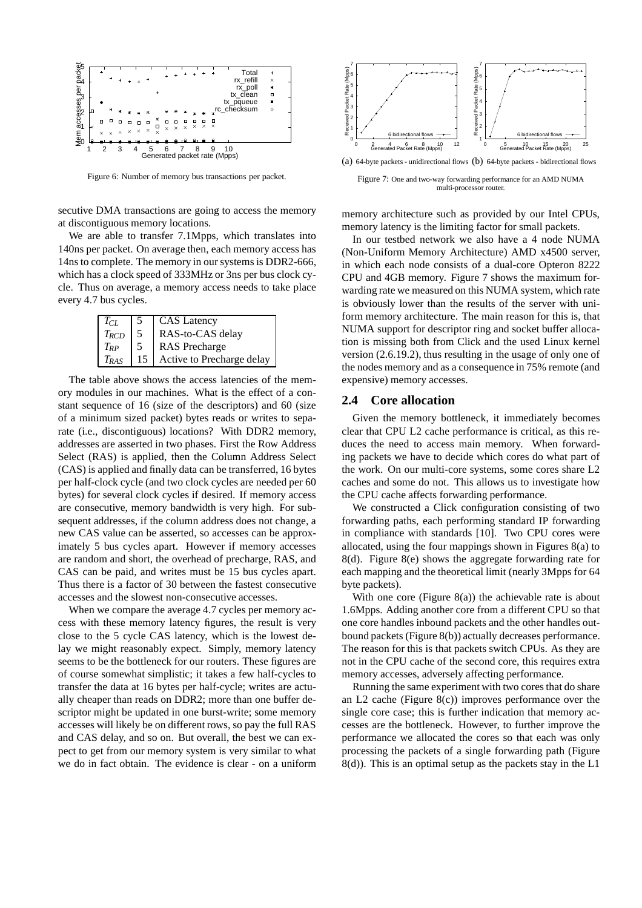

Figure 6: Number of memory bus transactions per packet.

secutive DMA transactions are going to access the memory at discontiguous memory locations.

We are able to transfer 7.1Mpps, which translates into 140ns per packet. On average then, each memory access has 14ns to complete. The memory in our systems is DDR2-666, which has a clock speed of 333MHz or 3ns per bus clock cycle. Thus on average, a memory access needs to take place every 4.7 bus cycles.

| $T_{CI}$  |    | <b>CAS</b> Latency        |
|-----------|----|---------------------------|
| $T_{RCD}$ | .5 | RAS-to-CAS delay          |
| $T_{RP}$  |    | <b>RAS</b> Precharge      |
| $T_{RAS}$ | 15 | Active to Precharge delay |

The table above shows the access latencies of the memory modules in our machines. What is the effect of a constant sequence of 16 (size of the descriptors) and 60 (size of a minimum sized packet) bytes reads or writes to separate (i.e., discontiguous) locations? With DDR2 memory, addresses are asserted in two phases. First the Row Address Select (RAS) is applied, then the Column Address Select (CAS) is applied and finally data can be transferred, 16 bytes per half-clock cycle (and two clock cycles are needed per 60 bytes) for several clock cycles if desired. If memory access are consecutive, memory bandwidth is very high. For subsequent addresses, if the column address does not change, a new CAS value can be asserted, so accesses can be approximately 5 bus cycles apart. However if memory accesses are random and short, the overhead of precharge, RAS, and CAS can be paid, and writes must be 15 bus cycles apart. Thus there is a factor of 30 between the fastest consecutive accesses and the slowest non-consecutive accesses.

When we compare the average 4.7 cycles per memory access with these memory latency figures, the result is very close to the 5 cycle CAS latency, which is the lowest delay we might reasonably expect. Simply, memory latency seems to be the bottleneck for our routers. These figures are of course somewhat simplistic; it takes a few half-cycles to transfer the data at 16 bytes per half-cycle; writes are actually cheaper than reads on DDR2; more than one buffer descriptor might be updated in one burst-write; some memory accesses will likely be on different rows, so pay the full RAS and CAS delay, and so on. But overall, the best we can expect to get from our memory system is very similar to what we do in fact obtain. The evidence is clear - on a uniform



(a) 64-byte packets - unidirectional flows (b) 64-byte packets - bidirectional flows

Figure 7: One and two-way forwarding performance for an AMD NUMA multi-processor router.

memory architecture such as provided by our Intel CPUs, memory latency is the limiting factor for small packets.

In our testbed network we also have a 4 node NUMA (Non-Uniform Memory Architecture) AMD x4500 server, in which each node consists of a dual-core Opteron 8222 CPU and 4GB memory. Figure 7 shows the maximum forwarding rate we measured on this NUMA system, which rate is obviously lower than the results of the server with uniform memory architecture. The main reason for this is, that NUMA support for descriptor ring and socket buffer allocation is missing both from Click and the used Linux kernel version (2.6.19.2), thus resulting in the usage of only one of the nodes memory and as a consequence in 75% remote (and expensive) memory accesses.

#### **2.4 Core allocation**

Given the memory bottleneck, it immediately becomes clear that CPU L2 cache performance is critical, as this reduces the need to access main memory. When forwarding packets we have to decide which cores do what part of the work. On our multi-core systems, some cores share L2 caches and some do not. This allows us to investigate how the CPU cache affects forwarding performance.

We constructed a Click configuration consisting of two forwarding paths, each performing standard IP forwarding in compliance with standards [10]. Two CPU cores were allocated, using the four mappings shown in Figures 8(a) to 8(d). Figure 8(e) shows the aggregate forwarding rate for each mapping and the theoretical limit (nearly 3Mpps for 64 byte packets).

With one core (Figure  $8(a)$ ) the achievable rate is about 1.6Mpps. Adding another core from a different CPU so that one core handles inbound packets and the other handles outbound packets (Figure 8(b)) actually decreases performance. The reason for this is that packets switch CPUs. As they are not in the CPU cache of the second core, this requires extra memory accesses, adversely affecting performance.

Running the same experiment with two cores that do share an L2 cache (Figure 8(c)) improves performance over the single core case; this is further indication that memory accesses are the bottleneck. However, to further improve the performance we allocated the cores so that each was only processing the packets of a single forwarding path (Figure 8(d)). This is an optimal setup as the packets stay in the L1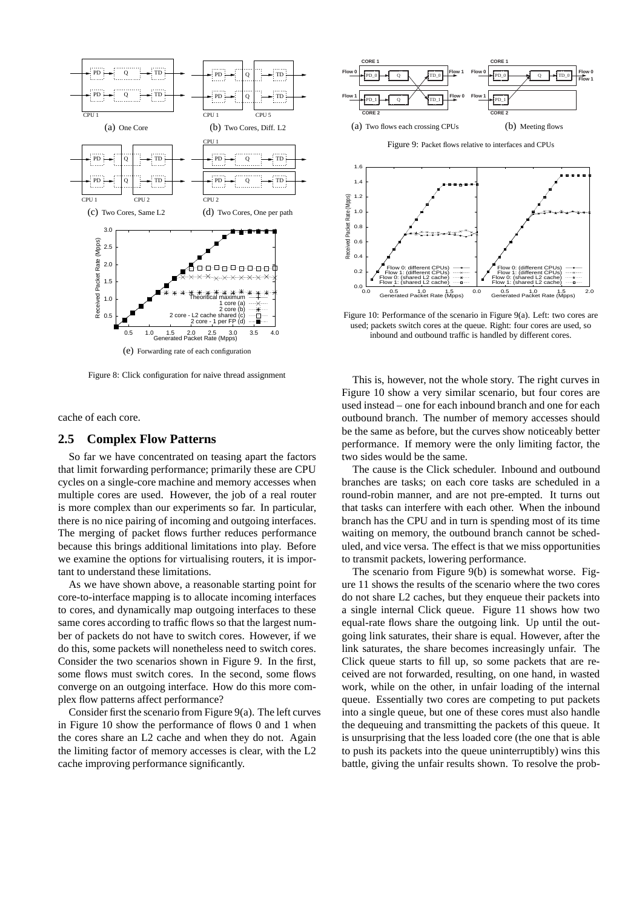

Figure 8: Click configuration for naive thread assignment

cache of each core.

#### **2.5 Complex Flow Patterns**

So far we have concentrated on teasing apart the factors that limit forwarding performance; primarily these are CPU cycles on a single-core machine and memory accesses when multiple cores are used. However, the job of a real router is more complex than our experiments so far. In particular, there is no nice pairing of incoming and outgoing interfaces. The merging of packet flows further reduces performance because this brings additional limitations into play. Before we examine the options for virtualising routers, it is important to understand these limitations.

As we have shown above, a reasonable starting point for core-to-interface mapping is to allocate incoming interfaces to cores, and dynamically map outgoing interfaces to these same cores according to traffic flows so that the largest number of packets do not have to switch cores. However, if we do this, some packets will nonetheless need to switch cores. Consider the two scenarios shown in Figure 9. In the first, some flows must switch cores. In the second, some flows converge on an outgoing interface. How do this more complex flow patterns affect performance?

Consider first the scenario from Figure 9(a). The left curves in Figure 10 show the performance of flows 0 and 1 when the cores share an L2 cache and when they do not. Again the limiting factor of memory accesses is clear, with the L2 cache improving performance significantly.



Figure 9: Packet flows relative to interfaces and CPUs



Figure 10: Performance of the scenario in Figure 9(a). Left: two cores are used; packets switch cores at the queue. Right: four cores are used, so inbound and outbound traffic is handled by different cores.

This is, however, not the whole story. The right curves in Figure 10 show a very similar scenario, but four cores are used instead – one for each inbound branch and one for each outbound branch. The number of memory accesses should be the same as before, but the curves show noticeably better performance. If memory were the only limiting factor, the two sides would be the same.

The cause is the Click scheduler. Inbound and outbound branches are tasks; on each core tasks are scheduled in a round-robin manner, and are not pre-empted. It turns out that tasks can interfere with each other. When the inbound branch has the CPU and in turn is spending most of its time waiting on memory, the outbound branch cannot be scheduled, and vice versa. The effect is that we miss opportunities to transmit packets, lowering performance.

The scenario from Figure 9(b) is somewhat worse. Figure 11 shows the results of the scenario where the two cores do not share L2 caches, but they enqueue their packets into a single internal Click queue. Figure 11 shows how two equal-rate flows share the outgoing link. Up until the outgoing link saturates, their share is equal. However, after the link saturates, the share becomes increasingly unfair. The Click queue starts to fill up, so some packets that are received are not forwarded, resulting, on one hand, in wasted work, while on the other, in unfair loading of the internal queue. Essentially two cores are competing to put packets into a single queue, but one of these cores must also handle the dequeuing and transmitting the packets of this queue. It is unsurprising that the less loaded core (the one that is able to push its packets into the queue uninterruptibly) wins this battle, giving the unfair results shown. To resolve the prob-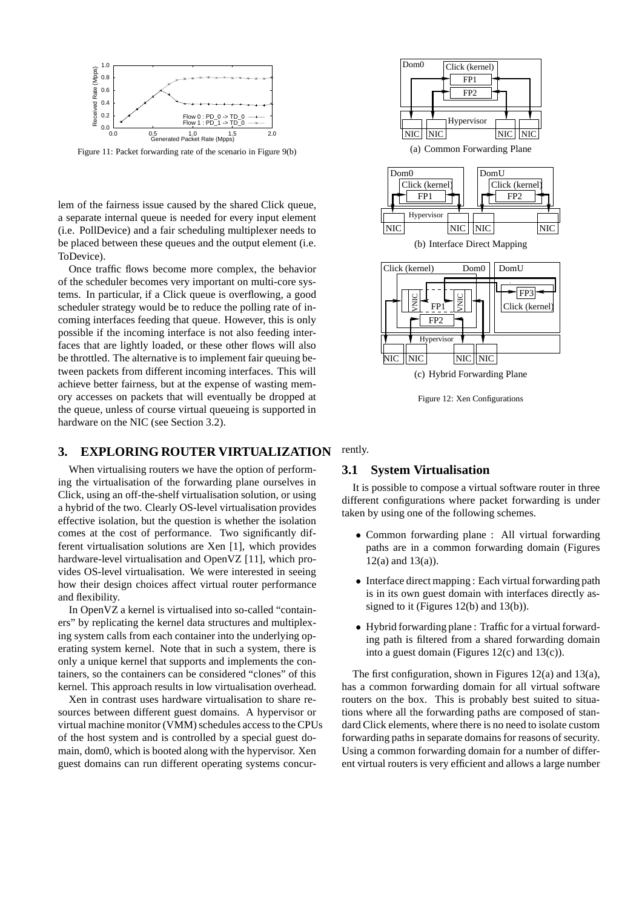

Figure 11: Packet forwarding rate of the scenario in Figure 9(b)

lem of the fairness issue caused by the shared Click queue, a separate internal queue is needed for every input element (i.e. PollDevice) and a fair scheduling multiplexer needs to be placed between these queues and the output element (i.e. ToDevice).

Once traffic flows become more complex, the behavior of the scheduler becomes very important on multi-core systems. In particular, if a Click queue is overflowing, a good scheduler strategy would be to reduce the polling rate of incoming interfaces feeding that queue. However, this is only possible if the incoming interface is not also feeding interfaces that are lightly loaded, or these other flows will also be throttled. The alternative is to implement fair queuing between packets from different incoming interfaces. This will achieve better fairness, but at the expense of wasting memory accesses on packets that will eventually be dropped at the queue, unless of course virtual queueing is supported in hardware on the NIC (see Section 3.2).

## **3. EXPLORING ROUTER VIRTUALIZATION**

When virtualising routers we have the option of performing the virtualisation of the forwarding plane ourselves in Click, using an off-the-shelf virtualisation solution, or using a hybrid of the two. Clearly OS-level virtualisation provides effective isolation, but the question is whether the isolation comes at the cost of performance. Two significantly different virtualisation solutions are Xen [1], which provides hardware-level virtualisation and OpenVZ [11], which provides OS-level virtualisation. We were interested in seeing how their design choices affect virtual router performance and flexibility.

In OpenVZ a kernel is virtualised into so-called "containers" by replicating the kernel data structures and multiplexing system calls from each container into the underlying operating system kernel. Note that in such a system, there is only a unique kernel that supports and implements the containers, so the containers can be considered "clones" of this kernel. This approach results in low virtualisation overhead.

Xen in contrast uses hardware virtualisation to share resources between different guest domains. A hypervisor or virtual machine monitor (VMM) schedules access to the CPUs of the host system and is controlled by a special guest domain, dom0, which is booted along with the hypervisor. Xen guest domains can run different operating systems concur-



Figure 12: Xen Configurations

### rently.

# **3.1 System Virtualisation**

It is possible to compose a virtual software router in three different configurations where packet forwarding is under taken by using one of the following schemes.

- Common forwarding plane : All virtual forwarding paths are in a common forwarding domain (Figures  $12(a)$  and  $13(a)$ ).
- Interface direct mapping : Each virtual forwarding path is in its own guest domain with interfaces directly assigned to it (Figures 12(b) and 13(b)).
- Hybrid forwarding plane : Traffic for a virtual forwarding path is filtered from a shared forwarding domain into a guest domain (Figures 12(c) and 13(c)).

The first configuration, shown in Figures 12(a) and 13(a), has a common forwarding domain for all virtual software routers on the box. This is probably best suited to situations where all the forwarding paths are composed of standard Click elements, where there is no need to isolate custom forwarding paths in separate domains for reasons of security. Using a common forwarding domain for a number of different virtual routers is very efficient and allows a large number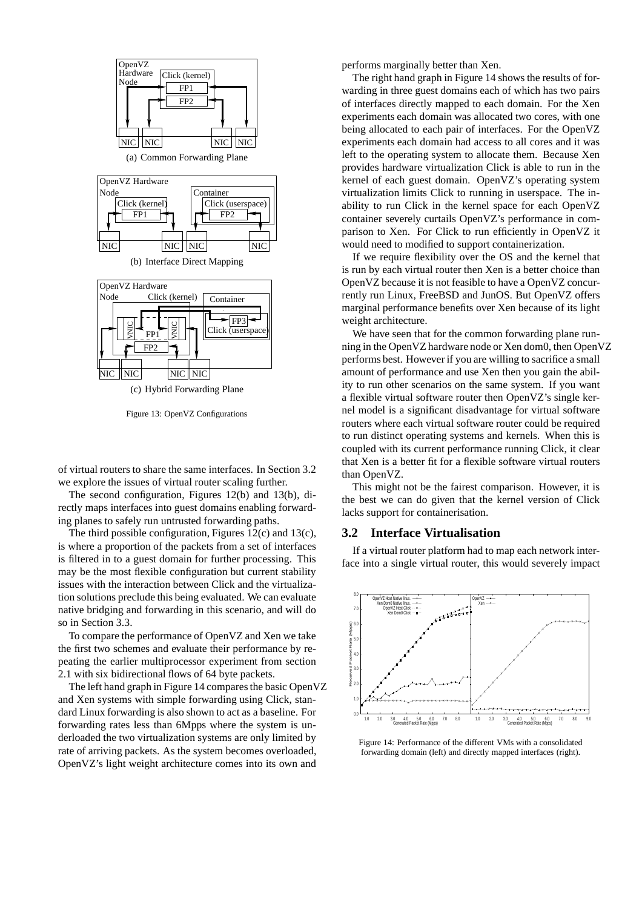

Figure 13: OpenVZ Configurations

of virtual routers to share the same interfaces. In Section 3.2 we explore the issues of virtual router scaling further.

The second configuration, Figures 12(b) and 13(b), directly maps interfaces into guest domains enabling forwarding planes to safely run untrusted forwarding paths.

The third possible configuration, Figures 12(c) and 13(c), is where a proportion of the packets from a set of interfaces is filtered in to a guest domain for further processing. This may be the most flexible configuration but current stability issues with the interaction between Click and the virtualization solutions preclude this being evaluated. We can evaluate native bridging and forwarding in this scenario, and will do so in Section 3.3.

To compare the performance of OpenVZ and Xen we take the first two schemes and evaluate their performance by repeating the earlier multiprocessor experiment from section 2.1 with six bidirectional flows of 64 byte packets.

The left hand graph in Figure 14 compares the basic OpenVZ and Xen systems with simple forwarding using Click, standard Linux forwarding is also shown to act as a baseline. For forwarding rates less than 6Mpps where the system is underloaded the two virtualization systems are only limited by rate of arriving packets. As the system becomes overloaded, OpenVZ's light weight architecture comes into its own and

performs marginally better than Xen.

The right hand graph in Figure 14 shows the results of forwarding in three guest domains each of which has two pairs of interfaces directly mapped to each domain. For the Xen experiments each domain was allocated two cores, with one being allocated to each pair of interfaces. For the OpenVZ experiments each domain had access to all cores and it was left to the operating system to allocate them. Because Xen provides hardware virtualization Click is able to run in the kernel of each guest domain. OpenVZ's operating system virtualization limits Click to running in userspace. The inability to run Click in the kernel space for each OpenVZ container severely curtails OpenVZ's performance in comparison to Xen. For Click to run efficiently in OpenVZ it would need to modified to support containerization.

If we require flexibility over the OS and the kernel that is run by each virtual router then Xen is a better choice than OpenVZ because it is not feasible to have a OpenVZ concurrently run Linux, FreeBSD and JunOS. But OpenVZ offers marginal performance benefits over Xen because of its light weight architecture.

We have seen that for the common forwarding plane running in the OpenVZ hardware node or Xen dom0, then OpenVZ performs best. However if you are willing to sacrifice a small amount of performance and use Xen then you gain the ability to run other scenarios on the same system. If you want a flexible virtual software router then OpenVZ's single kernel model is a significant disadvantage for virtual software routers where each virtual software router could be required to run distinct operating systems and kernels. When this is coupled with its current performance running Click, it clear that Xen is a better fit for a flexible software virtual routers than OpenVZ.

This might not be the fairest comparison. However, it is the best we can do given that the kernel version of Click lacks support for containerisation.

#### **3.2 Interface Virtualisation**

If a virtual router platform had to map each network interface into a single virtual router, this would severely impact



Figure 14: Performance of the different VMs with a consolidated forwarding domain (left) and directly mapped interfaces (right).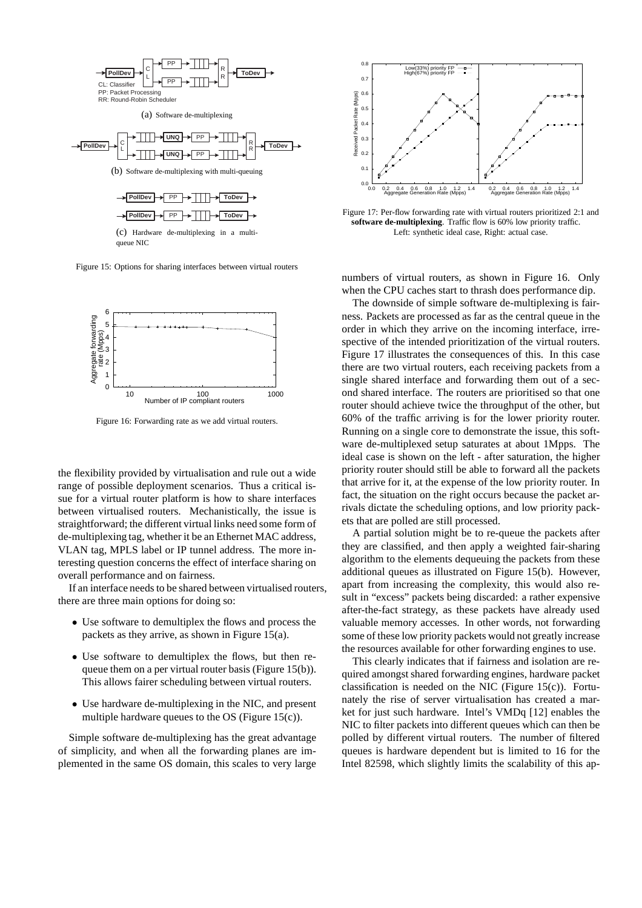

Figure 15: Options for sharing interfaces between virtual routers



Figure 16: Forwarding rate as we add virtual routers.

the flexibility provided by virtualisation and rule out a wide range of possible deployment scenarios. Thus a critical issue for a virtual router platform is how to share interfaces between virtualised routers. Mechanistically, the issue is straightforward; the different virtual links need some form of de-multiplexing tag, whether it be an Ethernet MAC address, VLAN tag, MPLS label or IP tunnel address. The more interesting question concerns the effect of interface sharing on overall performance and on fairness.

If an interface needs to be shared between virtualised routers, there are three main options for doing so:

- Use software to demultiplex the flows and process the packets as they arrive, as shown in Figure 15(a).
- Use software to demultiplex the flows, but then requeue them on a per virtual router basis (Figure 15(b)). This allows fairer scheduling between virtual routers.
- Use hardware de-multiplexing in the NIC, and present multiple hardware queues to the OS (Figure 15(c)).

Simple software de-multiplexing has the great advantage of simplicity, and when all the forwarding planes are implemented in the same OS domain, this scales to very large



Figure 17: Per-flow forwarding rate with virtual routers prioritized 2:1 and **software de-multiplexing**. Traffic flow is 60% low priority traffic. Left: synthetic ideal case, Right: actual case.

numbers of virtual routers, as shown in Figure 16. Only when the CPU caches start to thrash does performance dip.

The downside of simple software de-multiplexing is fairness. Packets are processed as far as the central queue in the order in which they arrive on the incoming interface, irrespective of the intended prioritization of the virtual routers. Figure 17 illustrates the consequences of this. In this case there are two virtual routers, each receiving packets from a single shared interface and forwarding them out of a second shared interface. The routers are prioritised so that one router should achieve twice the throughput of the other, but 60% of the traffic arriving is for the lower priority router. Running on a single core to demonstrate the issue, this software de-multiplexed setup saturates at about 1Mpps. The ideal case is shown on the left - after saturation, the higher priority router should still be able to forward all the packets that arrive for it, at the expense of the low priority router. In fact, the situation on the right occurs because the packet arrivals dictate the scheduling options, and low priority packets that are polled are still processed.

A partial solution might be to re-queue the packets after they are classified, and then apply a weighted fair-sharing algorithm to the elements dequeuing the packets from these additional queues as illustrated on Figure 15(b). However, apart from increasing the complexity, this would also result in "excess" packets being discarded: a rather expensive after-the-fact strategy, as these packets have already used valuable memory accesses. In other words, not forwarding some of these low priority packets would not greatly increase the resources available for other forwarding engines to use.

This clearly indicates that if fairness and isolation are required amongst shared forwarding engines, hardware packet classification is needed on the NIC (Figure 15 $(c)$ ). Fortunately the rise of server virtualisation has created a market for just such hardware. Intel's VMDq [12] enables the NIC to filter packets into different queues which can then be polled by different virtual routers. The number of filtered queues is hardware dependent but is limited to 16 for the Intel 82598, which slightly limits the scalability of this ap-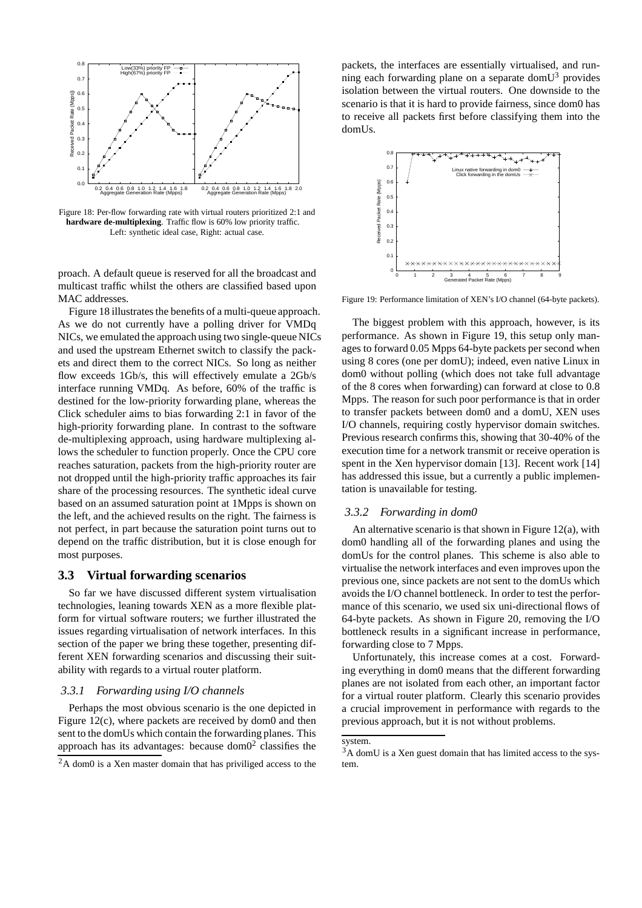

Figure 18: Per-flow forwarding rate with virtual routers prioritized 2:1 and **hardware de-multiplexing**. Traffic flow is 60% low priority traffic. Left: synthetic ideal case, Right: actual case.

proach. A default queue is reserved for all the broadcast and multicast traffic whilst the others are classified based upon MAC addresses.

Figure 18 illustrates the benefits of a multi-queue approach. As we do not currently have a polling driver for VMDq NICs, we emulated the approach using two single-queue NICs and used the upstream Ethernet switch to classify the packets and direct them to the correct NICs. So long as neither flow exceeds 1Gb/s, this will effectively emulate a 2Gb/s interface running VMDq. As before, 60% of the traffic is destined for the low-priority forwarding plane, whereas the Click scheduler aims to bias forwarding 2:1 in favor of the high-priority forwarding plane. In contrast to the software de-multiplexing approach, using hardware multiplexing allows the scheduler to function properly. Once the CPU core reaches saturation, packets from the high-priority router are not dropped until the high-priority traffic approaches its fair share of the processing resources. The synthetic ideal curve based on an assumed saturation point at 1Mpps is shown on the left, and the achieved results on the right. The fairness is not perfect, in part because the saturation point turns out to depend on the traffic distribution, but it is close enough for most purposes.

# **3.3 Virtual forwarding scenarios**

So far we have discussed different system virtualisation technologies, leaning towards XEN as a more flexible platform for virtual software routers; we further illustrated the issues regarding virtualisation of network interfaces. In this section of the paper we bring these together, presenting different XEN forwarding scenarios and discussing their suitability with regards to a virtual router platform.

## *3.3.1 Forwarding using I/O channels*

Perhaps the most obvious scenario is the one depicted in Figure 12(c), where packets are received by dom0 and then sent to the domUs which contain the forwarding planes. This approach has its advantages: because dom $0<sup>2</sup>$  classifies the

packets, the interfaces are essentially virtualised, and running each forwarding plane on a separate dom $U^3$  provides isolation between the virtual routers. One downside to the scenario is that it is hard to provide fairness, since dom0 has to receive all packets first before classifying them into the domUs.



Figure 19: Performance limitation of XEN's I/O channel (64-byte packets).

The biggest problem with this approach, however, is its performance. As shown in Figure 19, this setup only manages to forward 0.05 Mpps 64-byte packets per second when using 8 cores (one per domU); indeed, even native Linux in dom0 without polling (which does not take full advantage of the 8 cores when forwarding) can forward at close to 0.8 Mpps. The reason for such poor performance is that in order to transfer packets between dom0 and a domU, XEN uses I/O channels, requiring costly hypervisor domain switches. Previous research confirms this, showing that 30-40% of the execution time for a network transmit or receive operation is spent in the Xen hypervisor domain [13]. Recent work [14] has addressed this issue, but a currently a public implementation is unavailable for testing.

## *3.3.2 Forwarding in dom0*

An alternative scenario is that shown in Figure  $12(a)$ , with dom0 handling all of the forwarding planes and using the domUs for the control planes. This scheme is also able to virtualise the network interfaces and even improves upon the previous one, since packets are not sent to the domUs which avoids the I/O channel bottleneck. In order to test the performance of this scenario, we used six uni-directional flows of 64-byte packets. As shown in Figure 20, removing the I/O bottleneck results in a significant increase in performance, forwarding close to 7 Mpps.

Unfortunately, this increase comes at a cost. Forwarding everything in dom0 means that the different forwarding planes are not isolated from each other, an important factor for a virtual router platform. Clearly this scenario provides a crucial improvement in performance with regards to the previous approach, but it is not without problems.

<sup>2</sup>A dom0 is a Xen master domain that has priviliged access to the

system.

 $3A$  domU is a Xen guest domain that has limited access to the system.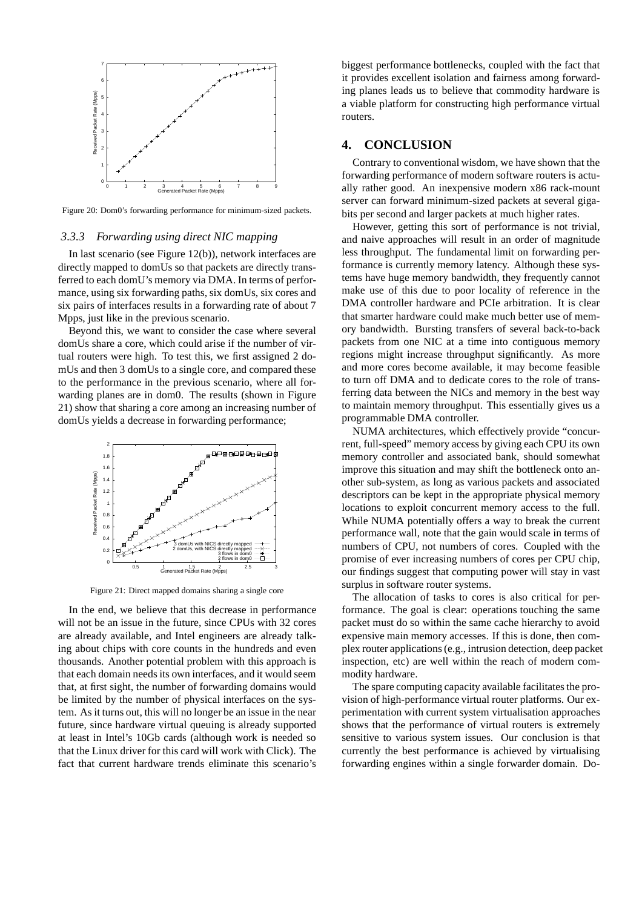

Figure 20: Dom0's forwarding performance for minimum-sized packets.

#### *3.3.3 Forwarding using direct NIC mapping*

In last scenario (see Figure 12(b)), network interfaces are directly mapped to domUs so that packets are directly transferred to each domU's memory via DMA. In terms of performance, using six forwarding paths, six domUs, six cores and six pairs of interfaces results in a forwarding rate of about 7 Mpps, just like in the previous scenario.

Beyond this, we want to consider the case where several domUs share a core, which could arise if the number of virtual routers were high. To test this, we first assigned 2 domUs and then 3 domUs to a single core, and compared these to the performance in the previous scenario, where all forwarding planes are in dom0. The results (shown in Figure 21) show that sharing a core among an increasing number of domUs yields a decrease in forwarding performance;



Figure 21: Direct mapped domains sharing a single core

In the end, we believe that this decrease in performance will not be an issue in the future, since CPUs with 32 cores are already available, and Intel engineers are already talking about chips with core counts in the hundreds and even thousands. Another potential problem with this approach is that each domain needs its own interfaces, and it would seem that, at first sight, the number of forwarding domains would be limited by the number of physical interfaces on the system. As it turns out, this will no longer be an issue in the near future, since hardware virtual queuing is already supported at least in Intel's 10Gb cards (although work is needed so that the Linux driver for this card will work with Click). The fact that current hardware trends eliminate this scenario's

biggest performance bottlenecks, coupled with the fact that it provides excellent isolation and fairness among forwarding planes leads us to believe that commodity hardware is a viable platform for constructing high performance virtual routers.

#### **4. CONCLUSION**

Contrary to conventional wisdom, we have shown that the forwarding performance of modern software routers is actually rather good. An inexpensive modern x86 rack-mount server can forward minimum-sized packets at several gigabits per second and larger packets at much higher rates.

However, getting this sort of performance is not trivial, and naive approaches will result in an order of magnitude less throughput. The fundamental limit on forwarding performance is currently memory latency. Although these systems have huge memory bandwidth, they frequently cannot make use of this due to poor locality of reference in the DMA controller hardware and PCIe arbitration. It is clear that smarter hardware could make much better use of memory bandwidth. Bursting transfers of several back-to-back packets from one NIC at a time into contiguous memory regions might increase throughput significantly. As more and more cores become available, it may become feasible to turn off DMA and to dedicate cores to the role of transferring data between the NICs and memory in the best way to maintain memory throughput. This essentially gives us a programmable DMA controller.

NUMA architectures, which effectively provide "concurrent, full-speed" memory access by giving each CPU its own memory controller and associated bank, should somewhat improve this situation and may shift the bottleneck onto another sub-system, as long as various packets and associated descriptors can be kept in the appropriate physical memory locations to exploit concurrent memory access to the full. While NUMA potentially offers a way to break the current performance wall, note that the gain would scale in terms of numbers of CPU, not numbers of cores. Coupled with the promise of ever increasing numbers of cores per CPU chip, our findings suggest that computing power will stay in vast surplus in software router systems.

The allocation of tasks to cores is also critical for performance. The goal is clear: operations touching the same packet must do so within the same cache hierarchy to avoid expensive main memory accesses. If this is done, then complex router applications (e.g., intrusion detection, deep packet inspection, etc) are well within the reach of modern commodity hardware.

The spare computing capacity available facilitates the provision of high-performance virtual router platforms. Our experimentation with current system virtualisation approaches shows that the performance of virtual routers is extremely sensitive to various system issues. Our conclusion is that currently the best performance is achieved by virtualising forwarding engines within a single forwarder domain. Do